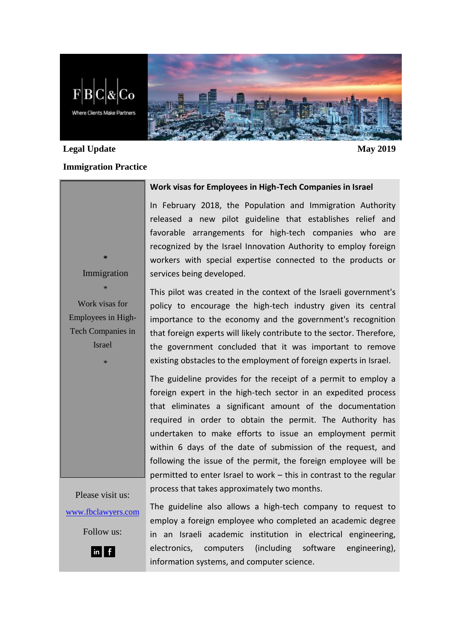

# **Legal Update May 2019**

#### **Immigration Practice**

### **Work visas for Employees in High-Tech Companies in Israel**

In February 2018, the Population and Immigration Authority released a new pilot guideline that establishes relief and favorable arrangements for high-tech companies who are recognized by the Israel Innovation Authority to employ foreign workers with special expertise connected to the products or services being developed.

Work visas for Employees in High-Tech Companies in Israel

\*

**\*** Immigration

\*

This pilot was created in the context of the Israeli government's policy to encourage the high-tech industry given its central importance to the economy and the government's recognition that foreign experts will likely contribute to the sector. Therefore, the government concluded that it was important to remove existing obstacles to the employment of foreign experts in Israel.

The guideline provides for the receipt of a permit to employ a foreign expert in the high-tech sector in an expedited process that eliminates a significant amount of the documentation required in order to obtain the permit. The Authority has undertaken to make efforts to issue an employment permit within 6 days of the date of submission of the request, and following the issue of the permit, the foreign employee will be permitted to enter Israel to work – this in contrast to the regular process that takes approximately two months.

Please visit us: [www.fbclawyers.com](http://www.fbclawyers.com/) Follow us:



The guideline also allows a high-tech company to request to employ a foreign employee who completed an academic degree in an Israeli academic institution in electrical engineering, electronics, computers (including software engineering), information systems, and computer science.